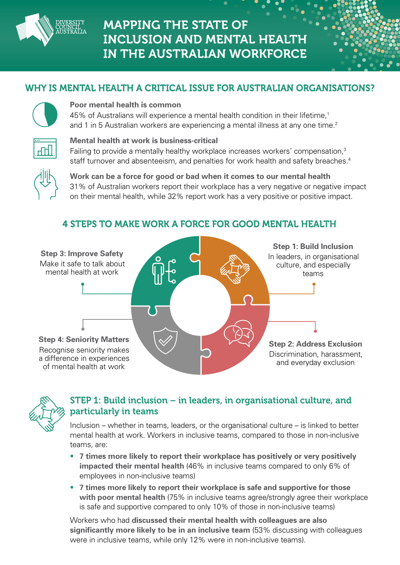

# **MAPPING THE STATE OF INCLUSION AND MENTAL HEALTH** IN THE AUSTRALIAN WORKFORCE

## WHY IS MENTAL HEALTH A CRITICAL ISSUE FOR AUSTRALIAN ORGANISATIONS?



#### **Poor mental health is common.**

45% of Australians will experience a mental health condition in their lifetime,<sup>1</sup> and 1 in 5 Australian workers are experiencing a mental illness at any one time.<sup>2</sup>



#### **Mental health at work is business-critical.**

Failing to provide a mentally healthy workplace increases workers' compensation,<sup>3</sup> staff turnover and absenteeism, and penalties for work health and safety breaches.<sup>4</sup>



**Work can be a force for good or bad when it comes to our mental health.** 31% of Australian workers report their workplace has a very negative or negative impact on their mental health, while 32% report work has a very positive or positive impact.

#### **Step 1: Build Inclusion.** In leaders, in organisational culture, and especially teams**. Step 3: Improve Safety.** Make it safe to talk about mental health at work**.**

4 STEPS TO MAKE WORK A FORCE FOR GOOD MENTAL HEALTH.

**Step 4: Seniority Matters.** Recognise seniority makes a difference in experiences of mental health at work**.**





### STEP 1: Build inclusion – in leaders, in organisational culture, and particularly in teams**.**

Inclusion – whether in teams, leaders, or the organisational culture – is linked to better mental health at work. Workers in inclusive teams, compared to those in non-inclusive teams, are:

- **7 times more likely to report their workplace has positively or very positively impacted their mental health** (46% in inclusive teams compared to only 6% of employees in non-inclusive teams)**.**
- **7 times more likely to report their workplace is safe and supportive for those with poor mental health** (75% in inclusive teams agree/strongly agree their workplace is safe and supportive compared to only 10% of those in non-inclusive teams)**.**

Workers who had **discussed their mental health with colleagues are also significantly more likely to be in an inclusive team** (53% discussing with colleagues were in inclusive teams, while only 12% were in non-inclusive teams).